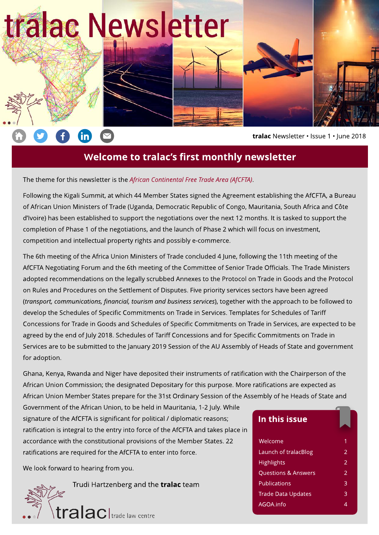

**th** 



tralac Newsletter · Issue 1 · June 2018

# Welcome to tralac's first monthly newsletter

The theme for this newsletter is the **African Continental Free Trade Area (AfCFTA)**.

Following the Kigali Summit, at which 44 Member States signed the Agreement establishing the AfCFTA, a Bureau of African Union Ministers of Trade (Uganda, Democratic Republic of Congo, Mauritania, South Africa and Côte d'Ivoire) has been established to support the negotiations over the next 12 months. It is tasked to support the completion of Phase 1 of the negotiations, and the launch of Phase 2 which will focus on investment, competition and intellectual property rights and possibly e-commerce.

The 6th meeting of the Africa Union Ministers of Trade concluded 4 June, following the 11th meeting of the AfCFTA Negotiating Forum and the 6th meeting of the Committee of Senior Trade Officials. The Trade Ministers adopted recommendations on the legally scrubbed Annexes to the Protocol on Trade in Goods and the Protocol on Rules and Procedures on the Settlement of Disputes. Five priority services sectors have been agreed (**transport, communications, financial, tourism and businessservices**), together with the approach to be followed to develop the Schedules of Specific Commitments on Trade in Services. Templates for Schedules of Tariff Concessions for Trade in Goods and Schedules of Specific Commitments on Trade in Services, are expected to be agreed by the end of July 2018. Schedules of Tariff Concessions and for Specific Commitments on Trade in Services are to be submitted to the January 2019 Session of the AU Assembly of Heads of State and government for adoption.

Ghana, Kenya, Rwanda and Niger have deposited their instruments of ratification with the Chairperson of the African Union Commission; the designated Depositary for this purpose. More ratifications are expected as African Union Member States prepare for the 31st Ordinary Session of the Assembly of he Heads of State and

Government of the African Union, to be held in Mauritania, 1-2 July. While signature of the AfCFTA is significant for political / diplomatic reasons; ratification is integral to the entry into force of the AfCFTA and takes place in accordance with the constitutional provisions of the Member States. 22 ratifications are required for the AfCFTA to enter into force.

We look forward to hearing from you.

Trudi Hartzenberg and the **tralac** team

# tralac |trade law centre

### In this issue

| Welcome              | 1 |
|----------------------|---|
| Launch of tralacBlog | 2 |
| <b>Highlights</b>    | 2 |
| Questions & Answers  | 2 |
| Publications         | 3 |
| Trade Data Updates   | 3 |
| AGOA.info            | Δ |
|                      |   |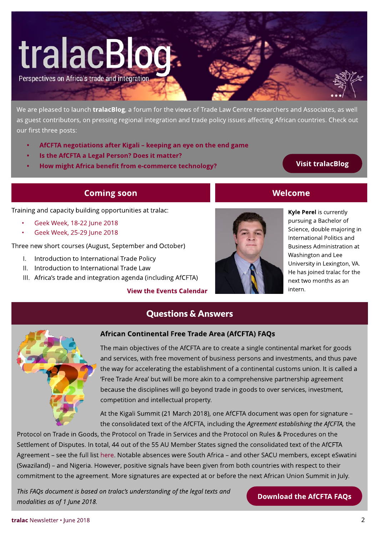# tralacBlog

Perspectives on Africa's trade and integration

We are pleased to launch *tralacBlog*, a forum for the views of Trade Law Centre researchers and Associates, as well as guest contributors, on pressing regional integration and trade policy issues affecting African countries. Check out our first three posts:

- [AfCFTA](https://www.tralac.org/blog/article/13119-afcfta-negotiations-after-kigali-keeping-an-eye-on-the-end-game.html) [negotiations](https://www.tralac.org/blog/article/13119-afcfta-negotiations-after-kigali-keeping-an-eye-on-the-end-game.html) [after](https://www.tralac.org/blog/article/13119-afcfta-negotiations-after-kigali-keeping-an-eye-on-the-end-game.html) [Kigali](https://www.tralac.org/blog/article/13119-afcfta-negotiations-after-kigali-keeping-an-eye-on-the-end-game.html) keeping [an](https://www.tralac.org/blog/article/13119-afcfta-negotiations-after-kigali-keeping-an-eye-on-the-end-game.html) [eye](https://www.tralac.org/blog/article/13119-afcfta-negotiations-after-kigali-keeping-an-eye-on-the-end-game.html) [on](https://www.tralac.org/blog/article/13119-afcfta-negotiations-after-kigali-keeping-an-eye-on-the-end-game.html) [the](https://www.tralac.org/blog/article/13119-afcfta-negotiations-after-kigali-keeping-an-eye-on-the-end-game.html) [end](https://www.tralac.org/blog/article/13119-afcfta-negotiations-after-kigali-keeping-an-eye-on-the-end-game.html) [gam](https://www.tralac.org/blog/article/13119-afcfta-negotiations-after-kigali-keeping-an-eye-on-the-end-game.html)e
- [Is](https://www.tralac.org/blog/article/13111-is-the-afcfta-a-legal-person-does-it-matter.html) [the](https://www.tralac.org/blog/article/13111-is-the-afcfta-a-legal-person-does-it-matter.html) [AfCFTA](https://www.tralac.org/blog/article/13111-is-the-afcfta-a-legal-person-does-it-matter.html) [a](https://www.tralac.org/blog/article/13111-is-the-afcfta-a-legal-person-does-it-matter.html) [Legal](https://www.tralac.org/blog/article/13111-is-the-afcfta-a-legal-person-does-it-matter.html) [Person?](https://www.tralac.org/blog/article/13111-is-the-afcfta-a-legal-person-does-it-matter.html) [Does](https://www.tralac.org/blog/article/13111-is-the-afcfta-a-legal-person-does-it-matter.html) [it](https://www.tralac.org/blog/article/13111-is-the-afcfta-a-legal-person-does-it-matter.html) m[atter?](https://www.tralac.org/blog/article/13111-is-the-afcfta-a-legal-person-does-it-matter.html)
- [How](https://www.tralac.org/blog/article/13117-how-might-africa-benefit-from-e-commerce-technology.html) m[ight](https://www.tralac.org/blog/article/13117-how-might-africa-benefit-from-e-commerce-technology.html) [Africa](https://www.tralac.org/blog/article/13117-how-might-africa-benefit-from-e-commerce-technology.html) [benefit](https://www.tralac.org/blog/article/13117-how-might-africa-benefit-from-e-commerce-technology.html) [from](https://www.tralac.org/blog/article/13117-how-might-africa-benefit-from-e-commerce-technology.html) [e-com](https://www.tralac.org/blog/article/13117-how-might-africa-benefit-from-e-commerce-technology.html)merce [technology?](https://www.tralac.org/blog/article/13117-how-might-africa-benefit-from-e-commerce-technology.html) Visit [tralacBlog](https://www.tralac.org/blog.html)

### **Coming soon**

Training and capacity building opportunities at tralac:

- [Geek](https://www.tralac.org/events/calendar-items/13146-capacity-building-at-tralac-geek-week-18-22-june-2018.html) [Week,](https://www.tralac.org/events/calendar-items/13146-capacity-building-at-tralac-geek-week-18-22-june-2018.html) [18-22](https://www.tralac.org/events/calendar-items/13146-capacity-building-at-tralac-geek-week-18-22-june-2018.html) [June](https://www.tralac.org/events/calendar-items/13146-capacity-building-at-tralac-geek-week-18-22-june-2018.html) [2018](https://www.tralac.org/events/calendar-items/13146-capacity-building-at-tralac-geek-week-18-22-june-2018.html)
- [Geek](https://www.tralac.org/events/calendar-items/13147-capacity-building-at-tralac-geek-week-25-29-june-2018.html) [Week,](https://www.tralac.org/events/calendar-items/13147-capacity-building-at-tralac-geek-week-25-29-june-2018.html) [25-29](https://www.tralac.org/events/calendar-items/13147-capacity-building-at-tralac-geek-week-25-29-june-2018.html) [June](https://www.tralac.org/events/calendar-items/13147-capacity-building-at-tralac-geek-week-25-29-june-2018.html) [2018](https://www.tralac.org/events/calendar-items/13147-capacity-building-at-tralac-geek-week-25-29-june-2018.html)

Three new short courses (August, September and October)

- I. Introduction to International Trade Policy
- II. Introduction to International Trade Law
- III. Africa's trade and integration agenda (including AfCFTA)

#### [View](https://www.tralac.org/events.html) [the](https://www.tralac.org/events.html) [Event](https://www.tralac.org/events.html)s [Calendar](https://www.tralac.org/events.html)



# **Welcome**

Kyle Perel is currently pursuing a Bachelor of Science, double majoring in International Politics and Business Administration at Washington and Lee University in Lexington, VA. He has joined tralac for the next two months as an intern.



### African Continental Free Trade Area (AfCFTA) FAQs

Questions& Answers

The main objectives of the AfCFTA are to create a single continental market for goods and services, with free movement of business persons and investments, and thus pave the way for accelerating the establishment of a continental customs union. It is called a 'Free Trade Area' but will be more akin to a comprehensive partnership agreement because the disciplines will go beyond trade in goods to over services, investment, competition and intellectual property.

At the Kigali Summit (21 March 2018), one AfCFTA document was open for signature the consolidated text of the AfCFTA, including the Agreement establishing the AfCFTA, the

Protocol on Trade in Goods, the Protocol on Trade in Services and the Protocol on Rules & Procedures on the Settlement of Disputes. In total, 44 out of the 55 AU Member States signed the consolidated text of the AfCFTA Agreement - see the full list [here.](https://www.tralac.org/documents/resources/african-union/1831-legal-instruments-signed-at-10th-extraordinary-summit-on-afcfta-21-march-2018/file.html) Notable absences were South Africa - and other SACU members, except eSwatini (Swaziland) - and Nigeria. However, positive signals have been given from both countries with respect to their commitment to the agreement. More signatures are expected at or before the next African Union Summit in July.

**ThisFAQsdocument isbased on tralac?sunderstandingof thelegal textsand modalitiesasof 1 June2018.**

[Download](https://www.tralac.org/documents/resources/cfta/1975-african-continental-free-trade-area-faqs-june-2018.html) the AfCFTA FAQs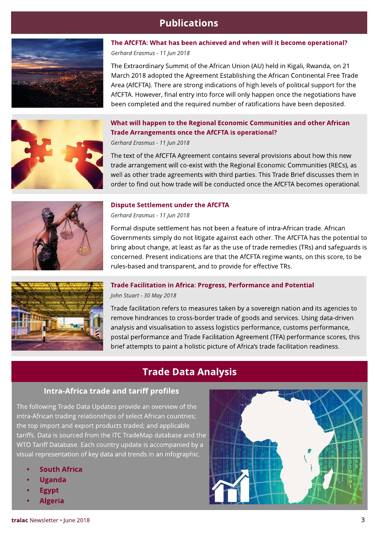# **Publications**



# Area (AfCFTA). There are strong indications of high levels of political support for the AfCFTA. However, final entry into force will only happen once the negotiations have been completed and the required number of ratifications have been deposited. [What](https://www.tralac.org/publications/article/13135-what-will-happen-to-the-regional-economic-communities-and-other-african-trade-arrangements-once-the-afcfta-is-operational.html) [will](https://www.tralac.org/publications/article/13135-what-will-happen-to-the-regional-economic-communities-and-other-african-trade-arrangements-once-the-afcfta-is-operational.html) [happen](https://www.tralac.org/publications/article/13135-what-will-happen-to-the-regional-economic-communities-and-other-african-trade-arrangements-once-the-afcfta-is-operational.html) [to](https://www.tralac.org/publications/article/13135-what-will-happen-to-the-regional-economic-communities-and-other-african-trade-arrangements-once-the-afcfta-is-operational.html) [the](https://www.tralac.org/publications/article/13135-what-will-happen-to-the-regional-economic-communities-and-other-african-trade-arrangements-once-the-afcfta-is-operational.html) [Regional](https://www.tralac.org/publications/article/13135-what-will-happen-to-the-regional-economic-communities-and-other-african-trade-arrangements-once-the-afcfta-is-operational.html) [Econom](https://www.tralac.org/publications/article/13135-what-will-happen-to-the-regional-economic-communities-and-other-african-trade-arrangements-once-the-afcfta-is-operational.html)ic Comm[unities](https://www.tralac.org/publications/article/13135-what-will-happen-to-the-regional-economic-communities-and-other-african-trade-arrangements-once-the-afcfta-is-operational.html) [and](https://www.tralac.org/publications/article/13135-what-will-happen-to-the-regional-economic-communities-and-other-african-trade-arrangements-once-the-afcfta-is-operational.html) [other](https://www.tralac.org/publications/article/13135-what-will-happen-to-the-regional-economic-communities-and-other-african-trade-arrangements-once-the-afcfta-is-operational.html) [African](https://www.tralac.org/publications/article/13135-what-will-happen-to-the-regional-economic-communities-and-other-african-trade-arrangements-once-the-afcfta-is-operational.html) [Trade](https://www.tralac.org/publications/article/13135-what-will-happen-to-the-regional-economic-communities-and-other-african-trade-arrangements-once-the-afcfta-is-operational.html) [Arrangem](https://www.tralac.org/publications/article/13135-what-will-happen-to-the-regional-economic-communities-and-other-african-trade-arrangements-once-the-afcfta-is-operational.html)ents [once](https://www.tralac.org/publications/article/13135-what-will-happen-to-the-regional-economic-communities-and-other-african-trade-arrangements-once-the-afcfta-is-operational.html) [the](https://www.tralac.org/publications/article/13135-what-will-happen-to-the-regional-economic-communities-and-other-african-trade-arrangements-once-the-afcfta-is-operational.html) [AfCFTA](https://www.tralac.org/publications/article/13135-what-will-happen-to-the-regional-economic-communities-and-other-african-trade-arrangements-once-the-afcfta-is-operational.html) [is](https://www.tralac.org/publications/article/13135-what-will-happen-to-the-regional-economic-communities-and-other-african-trade-arrangements-once-the-afcfta-is-operational.html) [operational?](https://www.tralac.org/publications/article/13135-what-will-happen-to-the-regional-economic-communities-and-other-african-trade-arrangements-once-the-afcfta-is-operational.html)

**Gerhard Erasmus- 11 Jun 2018**

**Gerhard Erasmus- 11 Jun 2018**

The text of the AfCFTA Agreement contains several provisions about how this new trade arrangement will co-exist with the Regional Economic Communities (RECs), as well as other trade agreements with third parties. This Trade Brief discusses them in order to find out how trade will be conducted once the AfCFTA becomes operational.

[The](https://www.tralac.org/publications/article/13134-the-afcfta-what-has-been-achieved-and-when-will-it-become-operational.html) [AfCFTA:](https://www.tralac.org/publications/article/13134-the-afcfta-what-has-been-achieved-and-when-will-it-become-operational.html) [What](https://www.tralac.org/publications/article/13134-the-afcfta-what-has-been-achieved-and-when-will-it-become-operational.html) [has](https://www.tralac.org/publications/article/13134-the-afcfta-what-has-been-achieved-and-when-will-it-become-operational.html) [been](https://www.tralac.org/publications/article/13134-the-afcfta-what-has-been-achieved-and-when-will-it-become-operational.html) [achieved](https://www.tralac.org/publications/article/13134-the-afcfta-what-has-been-achieved-and-when-will-it-become-operational.html) [and](https://www.tralac.org/publications/article/13134-the-afcfta-what-has-been-achieved-and-when-will-it-become-operational.html) [when](https://www.tralac.org/publications/article/13134-the-afcfta-what-has-been-achieved-and-when-will-it-become-operational.html) [will](https://www.tralac.org/publications/article/13134-the-afcfta-what-has-been-achieved-and-when-will-it-become-operational.html) [it](https://www.tralac.org/publications/article/13134-the-afcfta-what-has-been-achieved-and-when-will-it-become-operational.html) [becom](https://www.tralac.org/publications/article/13134-the-afcfta-what-has-been-achieved-and-when-will-it-become-operational.html)e [operational?](https://www.tralac.org/publications/article/13134-the-afcfta-what-has-been-achieved-and-when-will-it-become-operational.html)

The Extraordinary Summit of the African Union (AU) held in Kigali, Rwanda, on 21 March 2018 adopted the Agreement Establishing the African Continental Free Trade



#### **[Dispute](https://www.tralac.org/publications/article/13136-dispute-settlement-under-the-afcfta.html) [Settlem](https://www.tralac.org/publications/article/13136-dispute-settlement-under-the-afcfta.html)ent [under](https://www.tralac.org/publications/article/13136-dispute-settlement-under-the-afcfta.html) [the](https://www.tralac.org/publications/article/13136-dispute-settlement-under-the-afcfta.html) [AfCFTA](https://www.tralac.org/publications/article/13136-dispute-settlement-under-the-afcfta.html)**

**Gerhard Erasmus- 11 Jun 2018**

Formal dispute settlement has not been a feature of intra-African trade. African Governments simply do not litigate against each other. The AfCFTA has the potential to bring about change, at least as far as the use of trade remedies (TRs) and safeguards is concerned. Present indications are that the AfCFTA regime wants, on this score, to be rules-based and transparent, and to provide for effective TRs.



#### [Trade](https://www.tralac.org/publications/article/13100-trade-facilitation-in-africa-progress-performance-and-potential.html) [Facilitation](https://www.tralac.org/publications/article/13100-trade-facilitation-in-africa-progress-performance-and-potential.html) [in](https://www.tralac.org/publications/article/13100-trade-facilitation-in-africa-progress-performance-and-potential.html) [Africa:](https://www.tralac.org/publications/article/13100-trade-facilitation-in-africa-progress-performance-and-potential.html) [Progress,](https://www.tralac.org/publications/article/13100-trade-facilitation-in-africa-progress-performance-and-potential.html) [Perform](https://www.tralac.org/publications/article/13100-trade-facilitation-in-africa-progress-performance-and-potential.html)ance [and](https://www.tralac.org/publications/article/13100-trade-facilitation-in-africa-progress-performance-and-potential.html) [Potential](https://www.tralac.org/publications/article/13100-trade-facilitation-in-africa-progress-performance-and-potential.html) **John Stuart - 30 May 2018**

Trade facilitation refers to measures taken by a sovereign nation and its agencies to remove hindrances to cross-border trade of goods and services. Using data-driven analysis and visualisation to assess logistics performance, customs performance, postal performance and Trade Facilitation Agreement (TFA) performance scores, this brief attempts to paint a holistic picture of Africa's trade facilitation readiness.

# **Trade Data Analysis**

#### Intra-Africa trade and tariff profiles

The following Trade Data Updates provide an overview of the intra-African trading relationships of select African countries; the top import and export products traded; and applicable tariffs. Data is sourced from the ITC TradeMap database and the WTO Tariff Database. Each country update is accompanied by a visual representation of key data and trends in an infographic.

- **[Sout](https://www.tralac.org/resources/our-resources/13142-south-africa-intra-africa-trade-and-tariff-profile.html)h [Africa](https://www.tralac.org/resources/our-resources/13142-south-africa-intra-africa-trade-and-tariff-profile.html)**
- **[Uganda](https://www.tralac.org/resources/our-resources/13145-uganda-intra-africa-trade-and-tariff-profile.html)**
- **[Egypt](https://www.tralac.org/resources/our-resources/13144-egypt-intra-african-trade-and-tariff-profile.html)**
- **[Algeria](https://www.tralac.org/resources/our-resources/13143-algeria-intra-africa-trade-and-tariff-profile.html)**

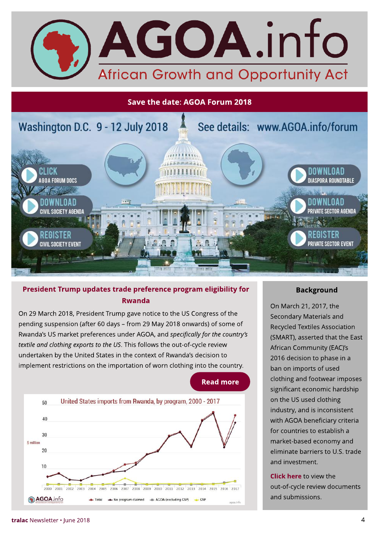

#### Save the date: AGOA Forum 2018



### President Trump updates trade preference program eligibility for Rwanda

On 29 March 2018, President Trump gave notice to the US Congress of the pending suspension (after 60 days - from 29 May 2018 onwards) of some of Rwanda's US market preferences under AGOA, and *specifically for the country's* textile and clothing exports to the US. This follows the out-of-cycle review undertaken by the United States in the context of Rwanda's decision to implement restrictions on the importation of worn clothing into the country.



#### Background

On March 21, 2017, the Secondary Materials and Recycled Textiles Association (SMART), asserted that the East African Community (EAC)?s 2016 decision to phase in a ban on imports of used clothing and footwear imposes significant economic hardship on the US used clothing industry, and is inconsistent with AGOA beneficiary criteria for countries to establish a market-based economy and eliminate barriers to U.S. trade and investment.

[Click](https://agoa.info/downloads/agoa-out-of-cycle-reviews.html) [here](https://agoa.info/downloads/agoa-out-of-cycle-reviews.html) to view the out-of-cycle review documents and submissions.